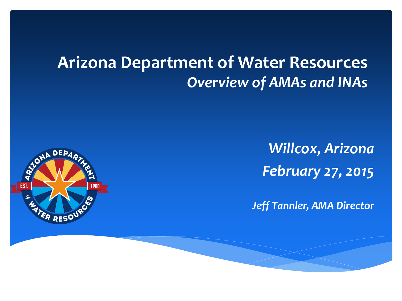### **Arizona Department of Water Resources** *Overview of AMAs and INAs*



*Willcox, Arizona February 27, 2015*

*Jeff Tannler, AMA Director*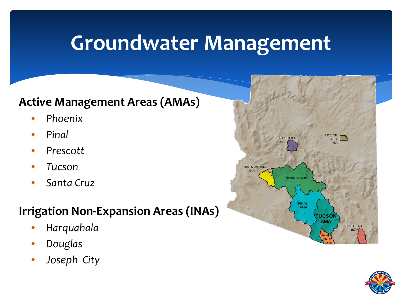### **Groundwater Management**

#### **Active Management Areas (AMAs)**

- *Phoenix*
- *Pinal*
- *Prescott*
- *Tucson*
- *Santa Cruz*

#### **Irrigation Non-Expansion Areas (INAs)**

- *Harquahala*
- *Douglas*
- *Joseph City*



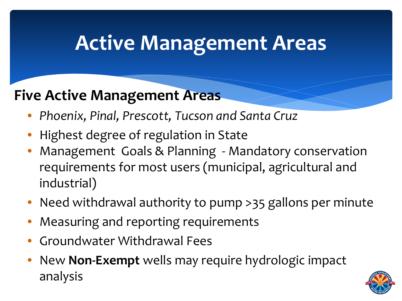### **Active Management Areas**

### **Five Active Management Areas**

- *Phoenix, Pinal, Prescott, Tucson and Santa Cruz*
- Highest degree of regulation in State
- Management Goals & Planning Mandatory conservation requirements for most users (municipal, agricultural and industrial)
- Need withdrawal authority to pump >35 gallons per minute
- Measuring and reporting requirements
- Groundwater Withdrawal Fees
- New **Non-Exempt** wells may require hydrologic impact analysis

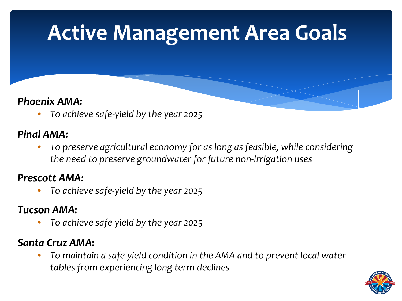## **Active Management Area Goals**

#### *Phoenix AMA:*

• *To achieve safe-yield by the year 2025*

#### *Pinal AMA:*

• *To preserve agricultural economy for as long as feasible, while considering the need to preserve groundwater for future non-irrigation uses*

#### *Prescott AMA:*

• *To achieve safe-yield by the year 2025*

#### *Tucson AMA:*

• *To achieve safe-yield by the year 2025*

#### *Santa Cruz AMA:*

• *To maintain a safe-yield condition in the AMA and to prevent local water tables from experiencing long term declines*

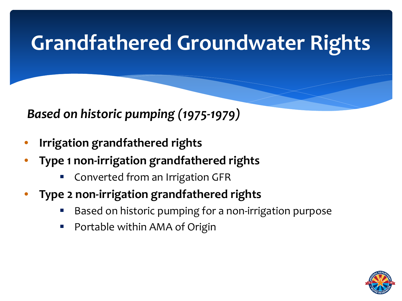## **Grandfathered Groundwater Rights**

*Based on historic pumping (1975-1979)*

- **Irrigation grandfathered rights**
- **Type 1 non-irrigation grandfathered rights**
	- **Converted from an Irrigation GFR**
- **Type 2 non-irrigation grandfathered rights**
	- Based on historic pumping for a non-irrigation purpose
	- Portable within AMA of Origin

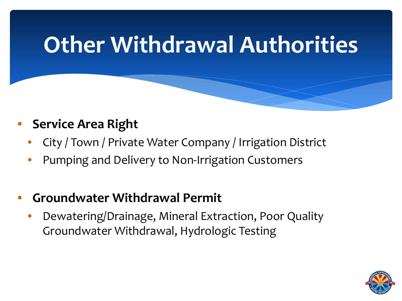# **Other Withdrawal Authorities**

- **Service Area Right**
	- City / Town / Private Water Company / Irrigation District
	- Pumping and Delivery to Non-Irrigation Customers
- **Groundwater Withdrawal Permit**
	- Dewatering/Drainage, Mineral Extraction, Poor Quality Groundwater Withdrawal, Hydrologic Testing

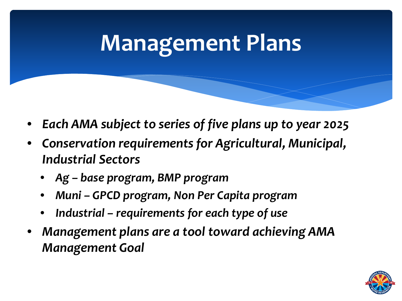# **Management Plans**

- *Each AMA subject to series of five plans up to year 2025*
- *Conservation requirements for Agricultural, Municipal, Industrial Sectors*
	- *Ag – base program, BMP program*
	- *Muni – GPCD program, Non Per Capita program*
	- *Industrial – requirements for each type of use*
- *Management plans are a tool toward achieving AMA Management Goal*

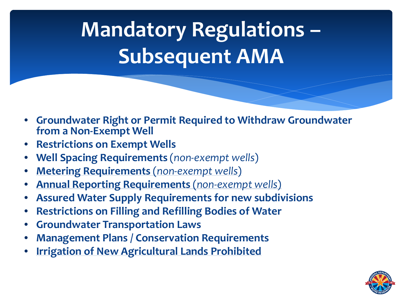# **Mandatory Regulations – Subsequent AMA**

- **Groundwater Right or Permit Required to Withdraw Groundwater from a Non-Exempt Well**
- **Restrictions on Exempt Wells**
- **Well Spacing Requirements** (*non-exempt wells*)
- **Metering Requirements** (*non-exempt wells*)
- **Annual Reporting Requirements** (*non-exempt wells*)
- **Assured Water Supply Requirements for new subdivisions**
- **Restrictions on Filling and Refilling Bodies of Water**
- **Groundwater Transportation Laws**
- **Management Plans / Conservation Requirements**
- **Irrigation of New Agricultural Lands Prohibited**